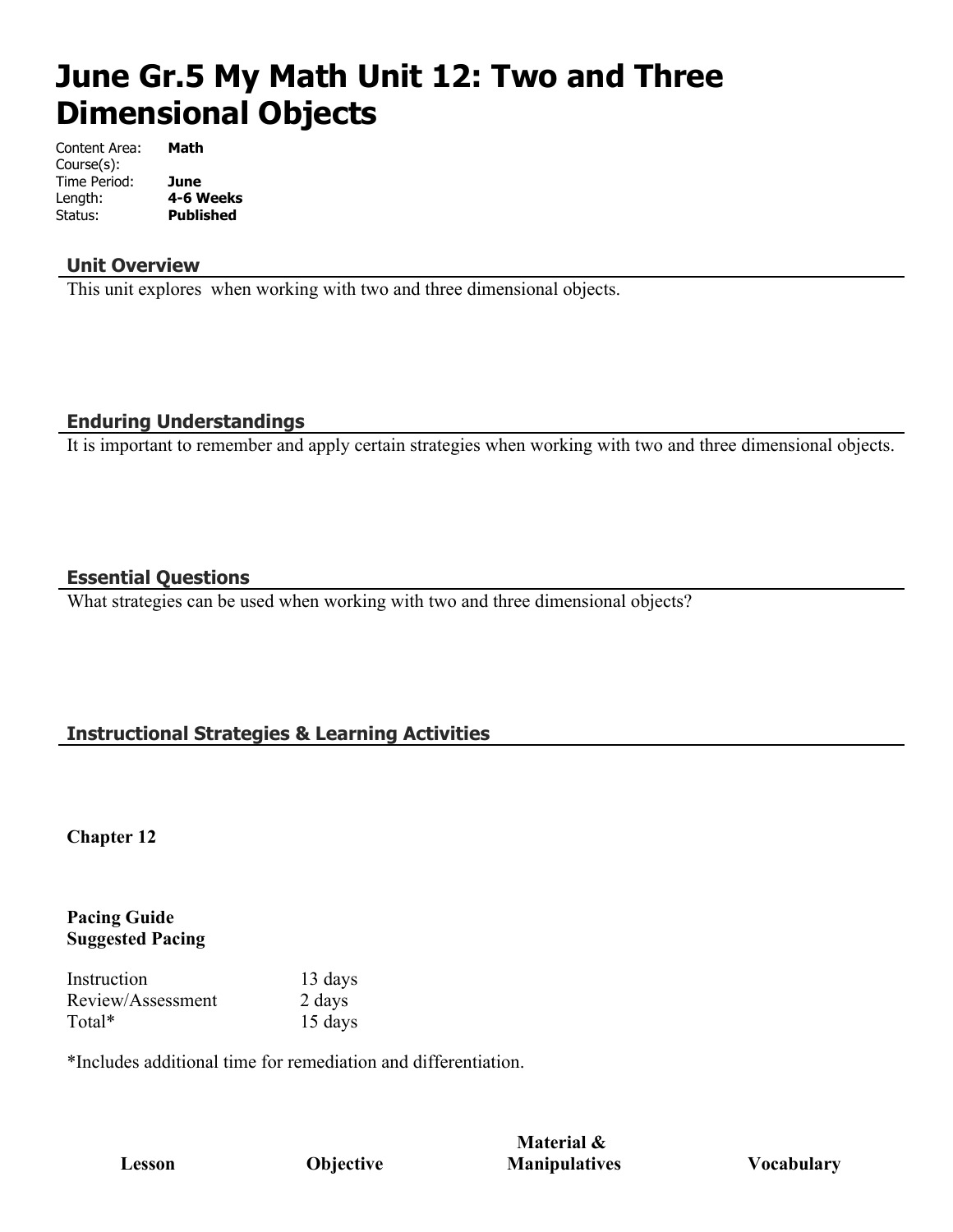# **June Gr.5 My Math Unit 12: Two and Three Dimensional Objects**

| Content Area: | Math             |
|---------------|------------------|
| Course(s):    |                  |
| Time Period:  | June             |
| Length:       | 4-6 Weeks        |
| Status:       | <b>Published</b> |

#### **Unit Overview**

This unit explores when working with two and three dimensional objects.

#### **Enduring Understandings**

It is important to remember and apply certain strategies when working with two and three dimensional objects.

#### **Essential Questions**

What strategies can be used when working with two and three dimensional objects?

## **Instructional Strategies & Learning Activities**

**Chapter 12**

#### **Pacing Guide Suggested Pacing**

Instruction 13 days Review/Assessment 2 days Total\* 15 days

\*Includes additional time for remediation and differentiation.

**Material & Manipulatives Vocabulary**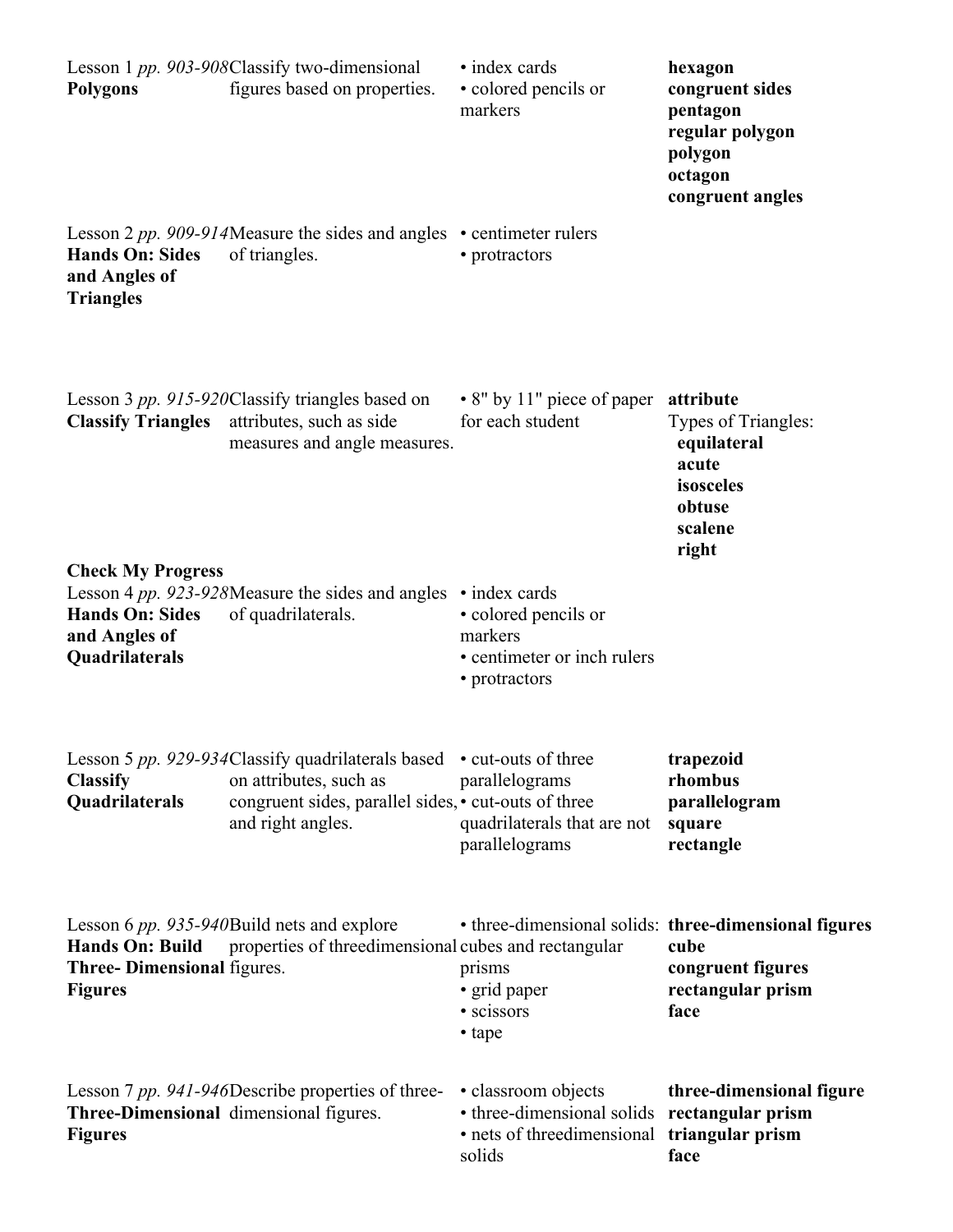| <b>Polygons</b>                                                 | Lesson 1 pp. 903-908Classify two-dimensional<br>figures based on properties.                                                                             | • index cards<br>· colored pencils or<br>markers                                                           | hexagon<br>congruent sides<br>pentagon<br>regular polygon<br>polygon<br>octagon<br>congruent angles             |
|-----------------------------------------------------------------|----------------------------------------------------------------------------------------------------------------------------------------------------------|------------------------------------------------------------------------------------------------------------|-----------------------------------------------------------------------------------------------------------------|
| <b>Hands On: Sides</b><br>and Angles of<br><b>Triangles</b>     | Lesson 2 pp. 909-914Measure the sides and angles $\cdot$ centimeter rulers<br>of triangles.                                                              | • protractors                                                                                              |                                                                                                                 |
| <b>Classify Triangles</b><br><b>Check My Progress</b>           | Lesson 3 pp. 915-920Classify triangles based on<br>attributes, such as side<br>measures and angle measures.                                              | • 8" by 11" piece of paper<br>for each student                                                             | attribute<br>Types of Triangles:<br>equilateral<br>acute<br>isosceles<br>obtuse<br>scalene<br>right             |
| <b>Hands On: Sides</b><br>and Angles of<br>Quadrilaterals       | Lesson 4 pp. 923-928Measure the sides and angles $\cdot$ index cards<br>of quadrilaterals.                                                               | • colored pencils or<br>markers<br>• centimeter or inch rulers<br>• protractors                            |                                                                                                                 |
| <b>Classify</b><br>Quadrilaterals                               | Lesson 5 pp. 929-934Classify quadrilaterals based<br>on attributes, such as<br>congruent sides, parallel sides, • cut-outs of three<br>and right angles. | • cut-outs of three<br>parallelograms<br>quadrilaterals that are not<br>parallelograms                     | trapezoid<br>rhombus<br>parallelogram<br>square<br>rectangle                                                    |
| Hands On: Build<br>Three-Dimensional figures.<br><b>Figures</b> | Lesson 6 pp. 935-940Build nets and explore<br>properties of threedimensional cubes and rectangular                                                       | prisms<br>· grid paper<br>• scissors<br>• tape                                                             | • three-dimensional solids: three-dimensional figures<br>cube<br>congruent figures<br>rectangular prism<br>face |
| <b>Figures</b>                                                  | Lesson 7 pp. 941-946Describe properties of three-<br>Three-Dimensional dimensional figures.                                                              | • classroom objects<br>• three-dimensional solids<br>• nets of threedimensional triangular prism<br>solids | three-dimensional figure<br>rectangular prism<br>face                                                           |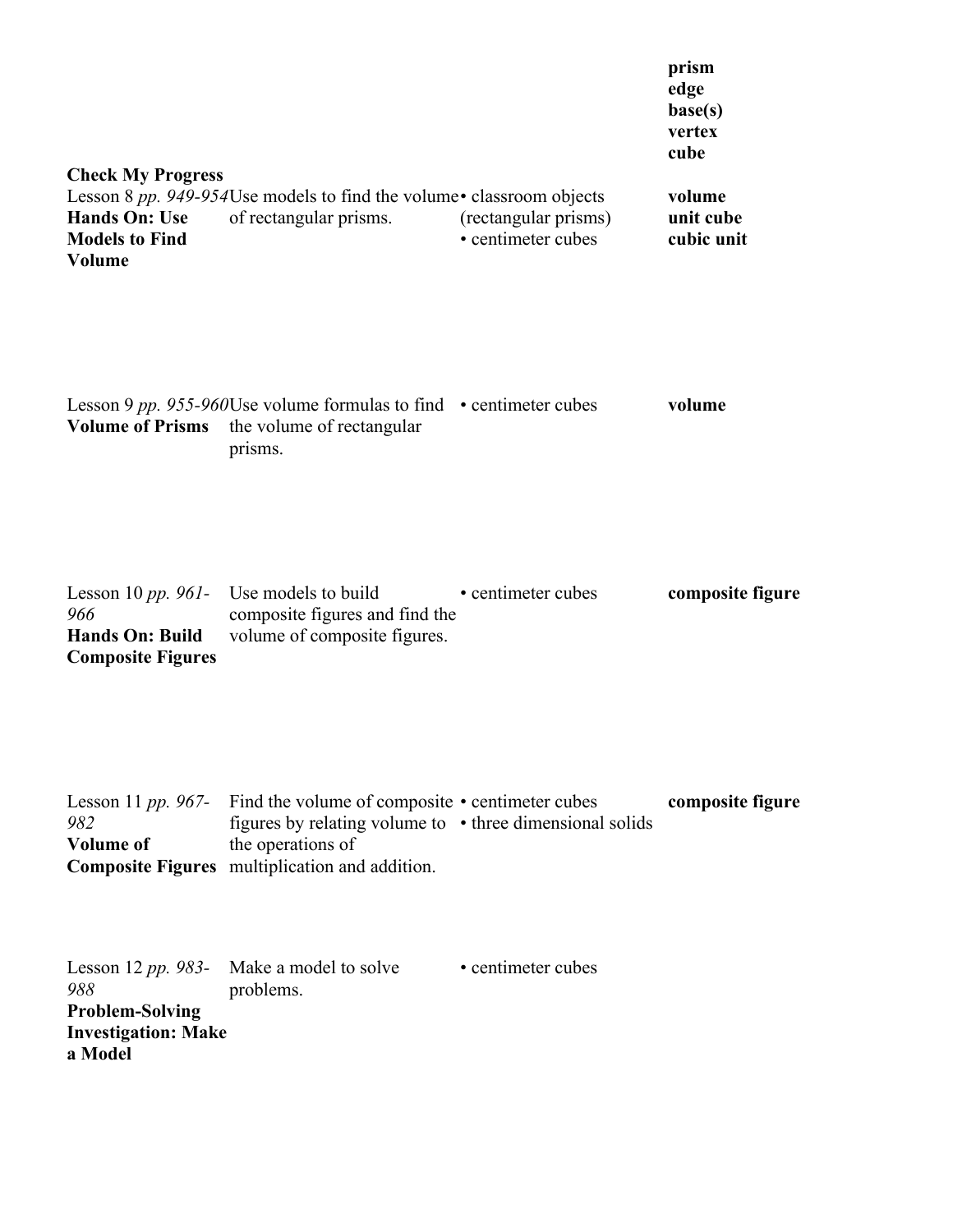| <b>Check My Progress</b><br><b>Hands On: Use</b><br><b>Models to Find</b><br><b>Volume</b>   | Lesson 8 pp. 949-954Use models to find the volume • classroom objects<br>of rectangular prisms.                                                                                    | (rectangular prisms)<br>• centimeter cubes | prism<br>edge<br>base(s)<br>vertex<br>cube<br>volume<br>unit cube<br>cubic unit |
|----------------------------------------------------------------------------------------------|------------------------------------------------------------------------------------------------------------------------------------------------------------------------------------|--------------------------------------------|---------------------------------------------------------------------------------|
| <b>Volume of Prisms</b>                                                                      | Lesson 9 pp. 955-960Use volume formulas to find $\cdot$ centimeter cubes<br>the volume of rectangular<br>prisms.                                                                   |                                            | volume                                                                          |
| Lesson 10 pp. 961- Use models to build<br>966<br>Hands On: Build<br><b>Composite Figures</b> | composite figures and find the<br>volume of composite figures.                                                                                                                     | • centimeter cubes                         | composite figure                                                                |
| Lesson 11 pp. 967-<br>982<br><b>Volume of</b>                                                | Find the volume of composite • centimeter cubes<br>figures by relating volume to • three dimensional solids<br>the operations of<br>Composite Figures multiplication and addition. |                                            | composite figure                                                                |
| 988<br><b>Problem-Solving</b><br><b>Investigation: Make</b><br>a Model                       | Lesson 12 <i>pp.</i> 983- Make a model to solve<br>problems.                                                                                                                       | • centimeter cubes                         |                                                                                 |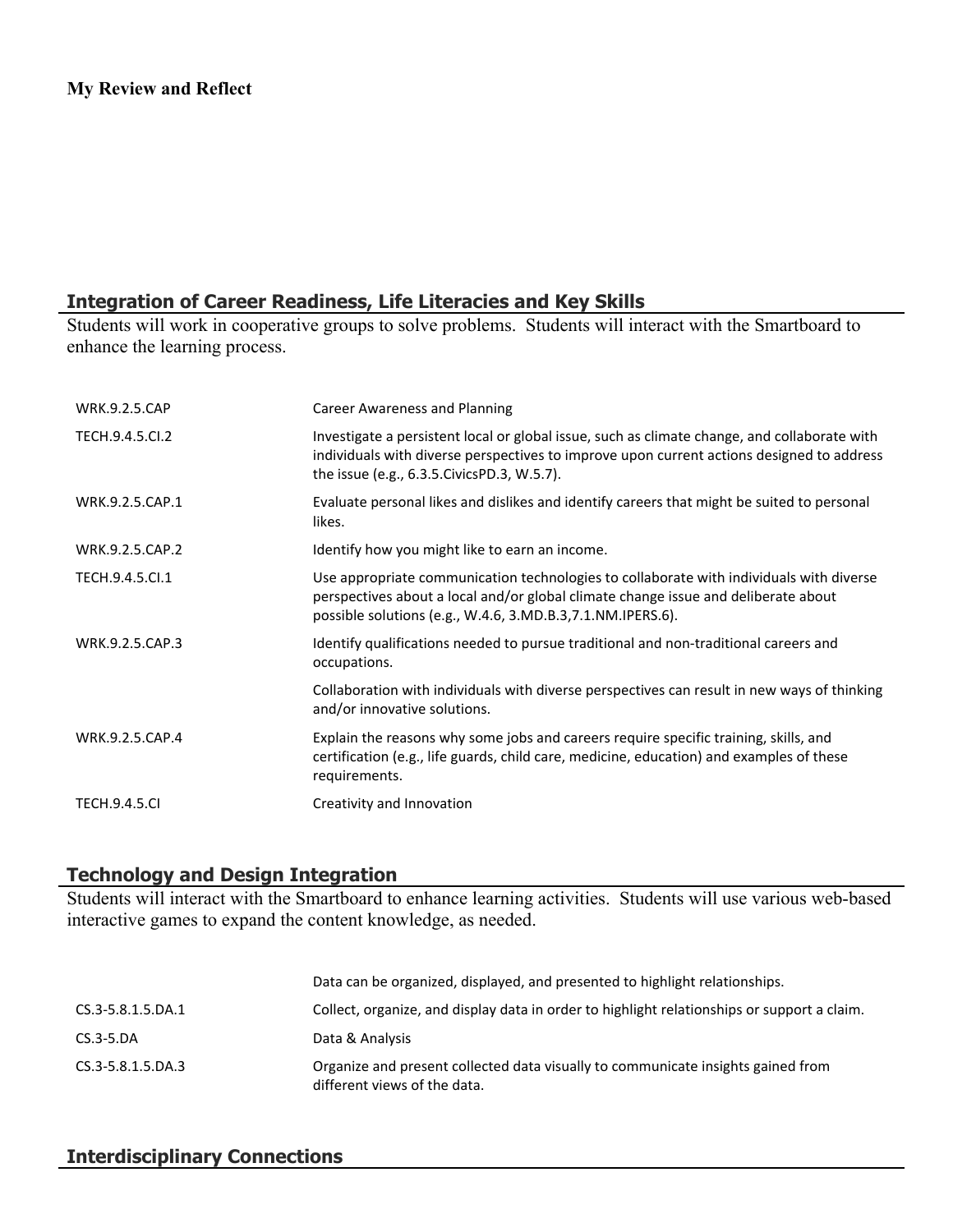## **Integration of Career Readiness, Life Literacies and Key Skills**

Students will work in cooperative groups to solve problems. Students will interact with the Smartboard to enhance the learning process.

| <b>WRK.9.2.5.CAP</b> | <b>Career Awareness and Planning</b>                                                                                                                                                                                                         |
|----------------------|----------------------------------------------------------------------------------------------------------------------------------------------------------------------------------------------------------------------------------------------|
| TECH.9.4.5.CI.2      | Investigate a persistent local or global issue, such as climate change, and collaborate with<br>individuals with diverse perspectives to improve upon current actions designed to address<br>the issue (e.g., 6.3.5. Civics PD.3, W.5.7).    |
| WRK.9.2.5.CAP.1      | Evaluate personal likes and dislikes and identify careers that might be suited to personal<br>likes.                                                                                                                                         |
| WRK.9.2.5.CAP.2      | Identify how you might like to earn an income.                                                                                                                                                                                               |
| TECH.9.4.5.Cl.1      | Use appropriate communication technologies to collaborate with individuals with diverse<br>perspectives about a local and/or global climate change issue and deliberate about<br>possible solutions (e.g., W.4.6, 3.MD.B.3, 7.1.NM.IPERS.6). |
| WRK.9.2.5.CAP.3      | Identify qualifications needed to pursue traditional and non-traditional careers and<br>occupations.                                                                                                                                         |
|                      | Collaboration with individuals with diverse perspectives can result in new ways of thinking<br>and/or innovative solutions.                                                                                                                  |
| WRK.9.2.5.CAP.4      | Explain the reasons why some jobs and careers require specific training, skills, and<br>certification (e.g., life guards, child care, medicine, education) and examples of these<br>requirements.                                            |
| <b>TECH.9.4.5.CI</b> | Creativity and Innovation                                                                                                                                                                                                                    |

## **Technology and Design Integration**

Students will interact with the Smartboard to enhance learning activities. Students will use various web-based interactive games to expand the content knowledge, as needed.

|                   | Data can be organized, displayed, and presented to highlight relationships.                                      |
|-------------------|------------------------------------------------------------------------------------------------------------------|
| CS.3-5.8.1.5.DA.1 | Collect, organize, and display data in order to highlight relationships or support a claim.                      |
| $CS.3-5.DA$       | Data & Analysis                                                                                                  |
| CS.3-5.8.1.5.DA.3 | Organize and present collected data visually to communicate insights gained from<br>different views of the data. |

## **Interdisciplinary Connections**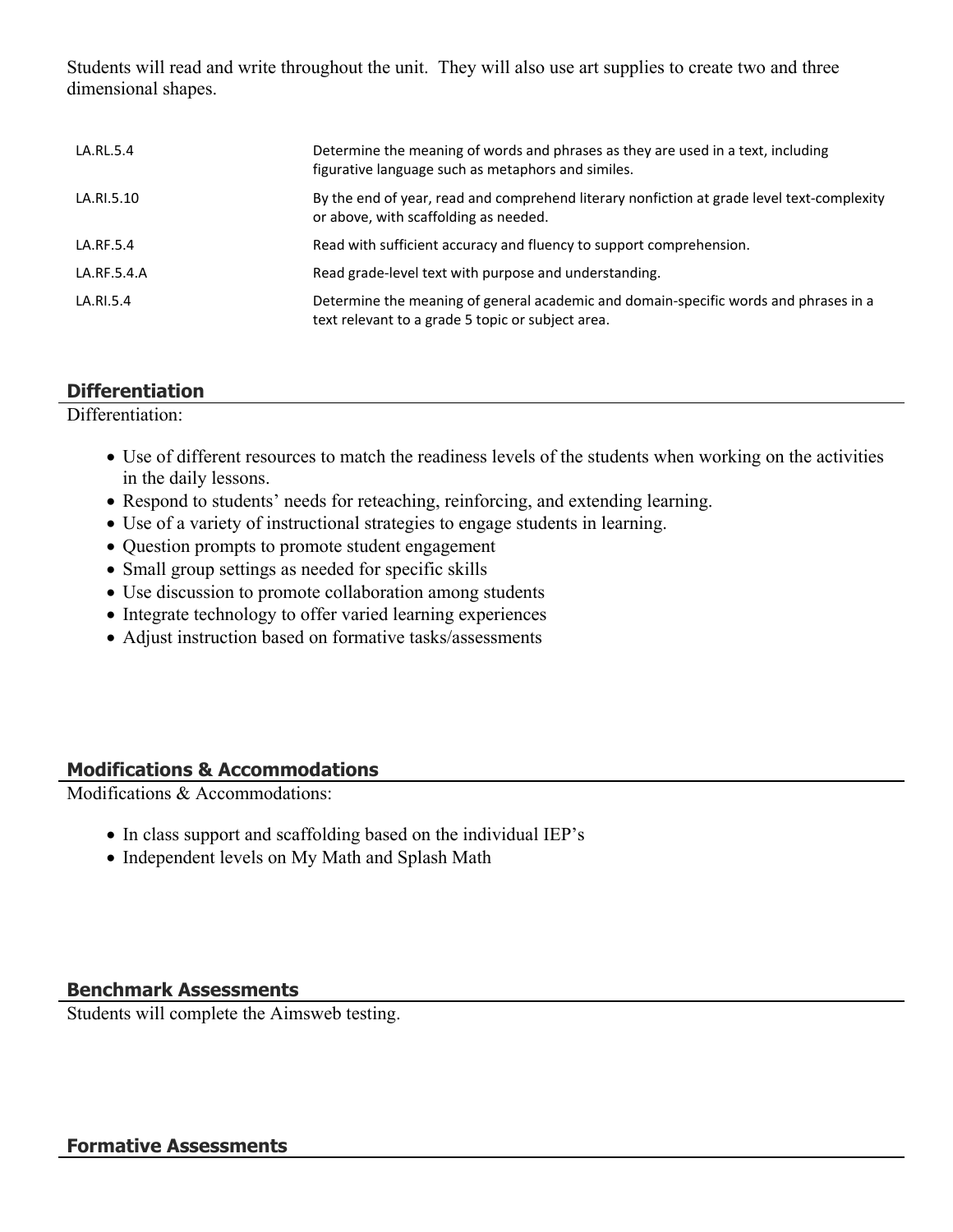Students will read and write throughout the unit. They will also use art supplies to create two and three dimensional shapes.

| LA.RL.5.4   | Determine the meaning of words and phrases as they are used in a text, including<br>figurative language such as metaphors and similes.    |
|-------------|-------------------------------------------------------------------------------------------------------------------------------------------|
| LA.RI.5.10  | By the end of year, read and comprehend literary nonfiction at grade level text-complexity<br>or above, with scaffolding as needed.       |
| LA.RF.5.4   | Read with sufficient accuracy and fluency to support comprehension.                                                                       |
| LA.RF.5.4.A | Read grade-level text with purpose and understanding.                                                                                     |
| LA.RI.5.4   | Determine the meaning of general academic and domain-specific words and phrases in a<br>text relevant to a grade 5 topic or subject area. |

### **Differentiation**

Differentiation:

- Use of different resources to match the readiness levels of the students when working on the activities in the daily lessons.
- Respond to students' needs for reteaching, reinforcing, and extending learning.
- Use of a variety of instructional strategies to engage students in learning.
- Question prompts to promote student engagement
- Small group settings as needed for specific skills
- Use discussion to promote collaboration among students
- Integrate technology to offer varied learning experiences
- Adjust instruction based on formative tasks/assessments

#### **Modifications & Accommodations**

Modifications & Accommodations:

- In class support and scaffolding based on the individual IEP's
- Independent levels on My Math and Splash Math

#### **Benchmark Assessments**

Students will complete the Aimsweb testing.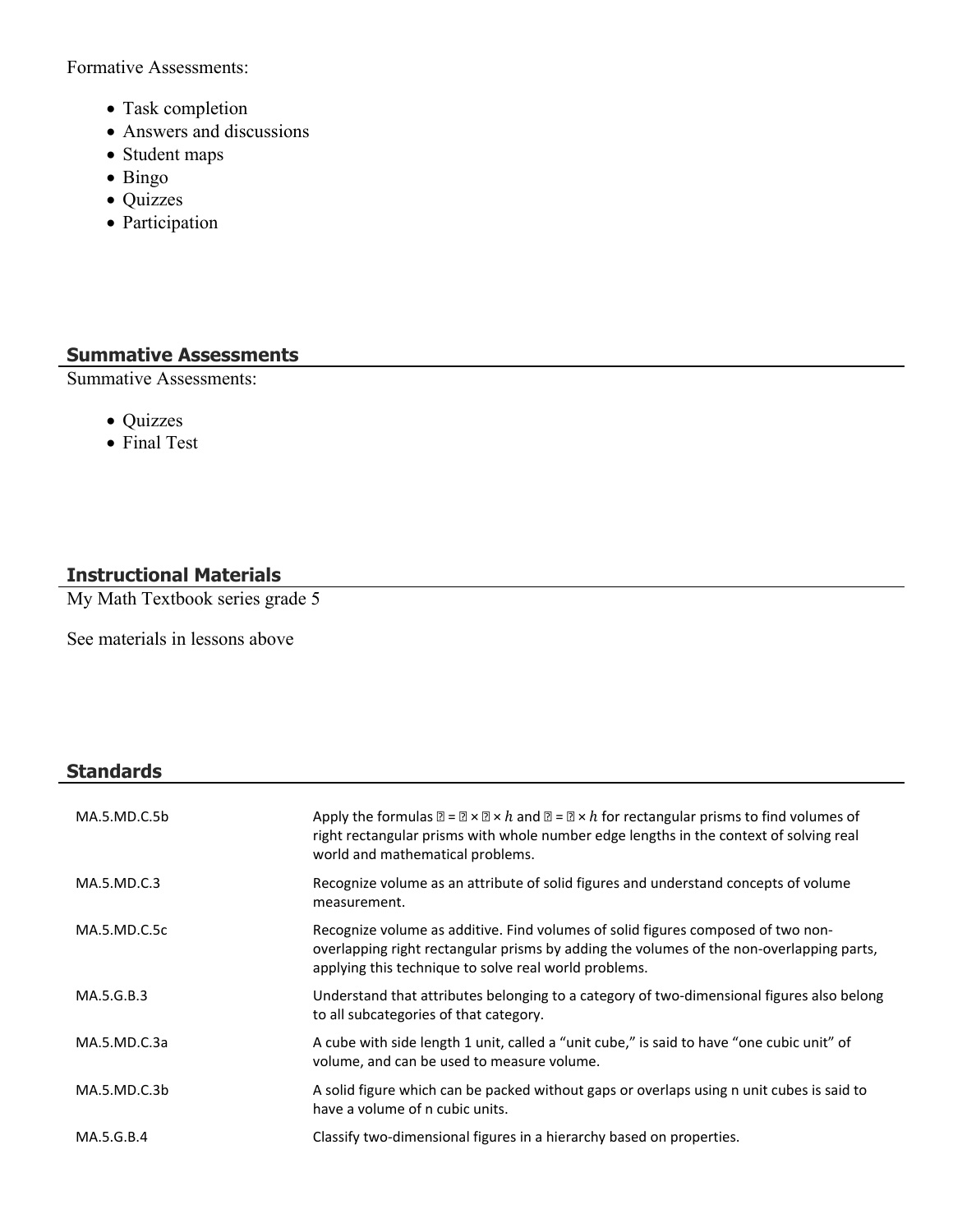Formative Assessments:

- Task completion
- Answers and discussions
- Student maps
- Bingo
- Quizzes
- Participation

## **Summative Assessments**

Summative Assessments:

- Quizzes
- Final Test

## **Instructional Materials**

My Math Textbook series grade 5

See materials in lessons above

## **Standards**

| MA.5.MD.C.5b | Apply the formulas $\mathbb{Z} = \mathbb{Z} \times \mathbb{Z} \times h$ and $\mathbb{Z} = \mathbb{Z} \times h$ for rectangular prisms to find volumes of<br>right rectangular prisms with whole number edge lengths in the context of solving real<br>world and mathematical problems. |
|--------------|----------------------------------------------------------------------------------------------------------------------------------------------------------------------------------------------------------------------------------------------------------------------------------------|
| MA.5.MD.C.3  | Recognize volume as an attribute of solid figures and understand concepts of volume<br>measurement.                                                                                                                                                                                    |
| MA.5.MD.C.5c | Recognize volume as additive. Find volumes of solid figures composed of two non-<br>overlapping right rectangular prisms by adding the volumes of the non-overlapping parts,<br>applying this technique to solve real world problems.                                                  |
| MA.5.G.B.3   | Understand that attributes belonging to a category of two-dimensional figures also belong<br>to all subcategories of that category.                                                                                                                                                    |
| MA.5.MD.C.3a | A cube with side length 1 unit, called a "unit cube," is said to have "one cubic unit" of<br>volume, and can be used to measure volume.                                                                                                                                                |
| MA.5.MD.C.3b | A solid figure which can be packed without gaps or overlaps using n unit cubes is said to<br>have a volume of n cubic units.                                                                                                                                                           |
| MA.5.G.B.4   | Classify two-dimensional figures in a hierarchy based on properties.                                                                                                                                                                                                                   |